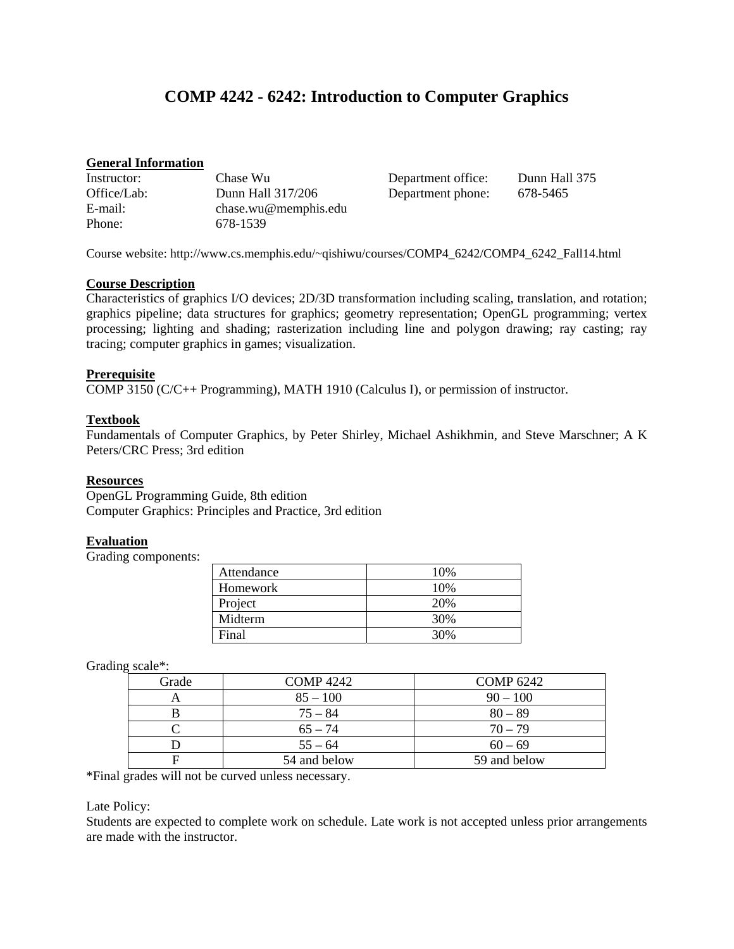# **COMP 4242 - 6242: Introduction to Computer Graphics**

### **General Information**

| Instructor: | Chase Wu             |
|-------------|----------------------|
| Office/Lab: | Dunn Hall 317/206    |
| $E$ -mail:  | chase.wu@memphis.edu |
| Phone:      | 678-1539             |

Department office: Dunn Hall 375 Department phone: 678-5465

Course website: http://www.cs.memphis.edu/~qishiwu/courses/COMP4\_6242/COMP4\_6242\_Fall14.html

#### **Course Description**

Characteristics of graphics I/O devices; 2D/3D transformation including scaling, translation, and rotation; graphics pipeline; data structures for graphics; geometry representation; OpenGL programming; vertex processing; lighting and shading; rasterization including line and polygon drawing; ray casting; ray tracing; computer graphics in games; visualization.

# **Prerequisite**

COMP 3150 (C/C++ Programming), MATH 1910 (Calculus I), or permission of instructor.

# **Textbook**

Fundamentals of Computer Graphics, by Peter Shirley, Michael Ashikhmin, and Steve Marschner; A K Peters/CRC Press; 3rd edition

# **Resources**

OpenGL Programming Guide, 8th edition Computer Graphics: Principles and Practice, 3rd edition

# **Evaluation**

Grading components:

| Attendance | 10% |
|------------|-----|
| Homework   | 10% |
| Project    | 20% |
| Midterm    | 30% |
| Final      | 30% |

Grading scale\*:

| Grade | <b>COMP</b> 4242 | <b>COMP 6242</b> |
|-------|------------------|------------------|
|       | $85 - 100$       | $90 - 100$       |
|       | $75 - 84$        | $80 - 89$        |
|       | $65 - 74$        | $70 - 79$        |
|       | $55 - 64$        | $60 - 69$        |
|       | 54 and below     | 59 and below     |

\*Final grades will not be curved unless necessary.

#### Late Policy:

Students are expected to complete work on schedule. Late work is not accepted unless prior arrangements are made with the instructor.